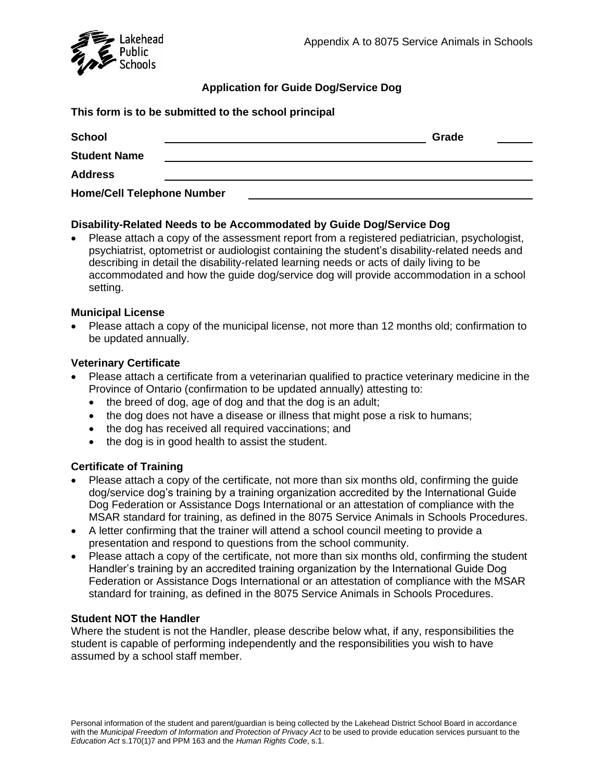

# **Application for Guide Dog/Service Dog**

|                                   | <b>THE PERIOD OF A REPORT INTO A REPORT OF A REPORT</b> |       |
|-----------------------------------|---------------------------------------------------------|-------|
| <b>School</b>                     |                                                         | Grade |
| <b>Student Name</b>               |                                                         |       |
| <b>Address</b>                    |                                                         |       |
| <b>Home/Cell Telephone Number</b> |                                                         |       |

# **Disability-Related Needs to be Accommodated by Guide Dog/Service Dog**

• Please attach a copy of the assessment report from a registered pediatrician, psychologist, psychiatrist, optometrist or audiologist containing the student's disability-related needs and describing in detail the disability-related learning needs or acts of daily living to be accommodated and how the guide dog/service dog will provide accommodation in a school setting.

## **Municipal License**

• Please attach a copy of the municipal license, not more than 12 months old; confirmation to be updated annually.

## **Veterinary Certificate**

- Please attach a certificate from a veterinarian qualified to practice veterinary medicine in the Province of Ontario (confirmation to be updated annually) attesting to:
	- the breed of dog, age of dog and that the dog is an adult;
	- the dog does not have a disease or illness that might pose a risk to humans;
	- the dog has received all required vaccinations; and
	- the dog is in good health to assist the student.

**This form is to be submitted to the school principal**

# **Certificate of Training**

- Please attach a copy of the certificate, not more than six months old, confirming the guide dog/service dog's training by a training organization accredited by the International Guide Dog Federation or Assistance Dogs International or an attestation of compliance with the MSAR standard for training, as defined in the 8075 Service Animals in Schools Procedures.
- A letter confirming that the trainer will attend a school council meeting to provide a presentation and respond to questions from the school community.
- Please attach a copy of the certificate, not more than six months old, confirming the student Handler's training by an accredited training organization by the International Guide Dog Federation or Assistance Dogs International or an attestation of compliance with the MSAR standard for training, as defined in the 8075 Service Animals in Schools Procedures.

#### **Student NOT the Handler**

Where the student is not the Handler, please describe below what, if any, responsibilities the student is capable of performing independently and the responsibilities you wish to have assumed by a school staff member.